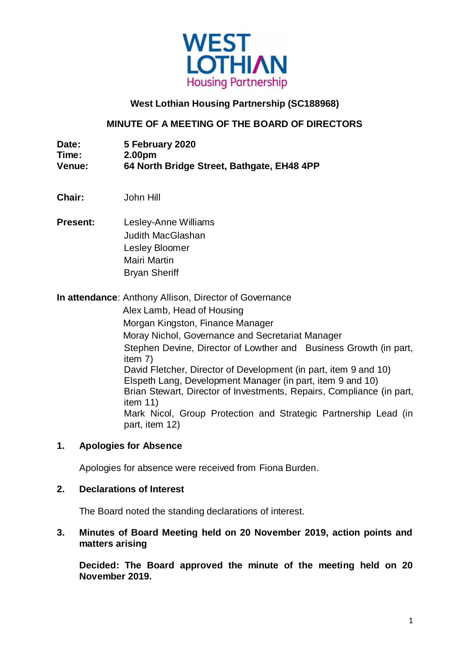

## **West Lothian Housing Partnership (SC188968)**

### **MINUTE OF A MEETING OF THE BOARD OF DIRECTORS**

| Date:         | 5 February 2020                            |
|---------------|--------------------------------------------|
| Time:         | 2.00pm                                     |
| <b>Venue:</b> | 64 North Bridge Street, Bathgate, EH48 4PP |

- **Chair:** John Hill
- **Present:** Lesley-Anne Williams Judith MacGlashan Lesley Bloomer Mairi Martin Bryan Sheriff

**In attendance**: Anthony Allison, Director of Governance Alex Lamb, Head of Housing Morgan Kingston, Finance Manager Moray Nichol, Governance and Secretariat Manager Stephen Devine, Director of Lowther and Business Growth (in part, item 7) David Fletcher, Director of Development (in part, item 9 and 10) Elspeth Lang, Development Manager (in part, item 9 and 10) Brian Stewart, Director of Investments, Repairs, Compliance (in part, item 11) Mark Nicol, Group Protection and Strategic Partnership Lead (in part, item 12)

#### **1. Apologies for Absence**

Apologies for absence were received from Fiona Burden.

### **2. Declarations of Interest**

The Board noted the standing declarations of interest.

#### **3. Minutes of Board Meeting held on 20 November 2019, action points and matters arising**

**Decided: The Board approved the minute of the meeting held on 20 November 2019.**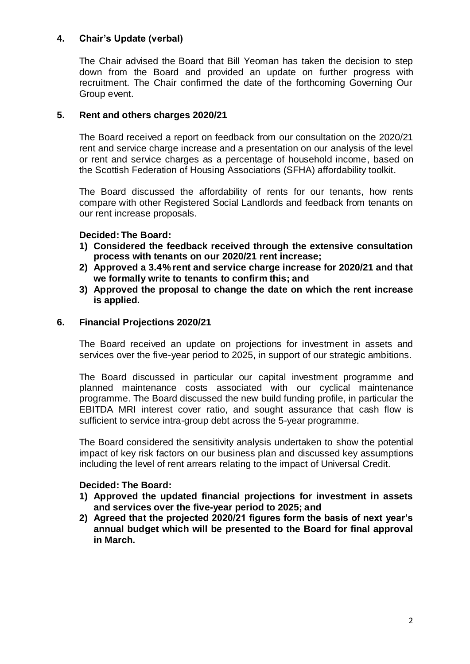## **4. Chair's Update (verbal)**

The Chair advised the Board that Bill Yeoman has taken the decision to step down from the Board and provided an update on further progress with recruitment. The Chair confirmed the date of the forthcoming Governing Our Group event.

## **5. Rent and others charges 2020/21**

The Board received a report on feedback from our consultation on the 2020/21 rent and service charge increase and a presentation on our analysis of the level or rent and service charges as a percentage of household income, based on the Scottish Federation of Housing Associations (SFHA) affordability toolkit.

The Board discussed the affordability of rents for our tenants, how rents compare with other Registered Social Landlords and feedback from tenants on our rent increase proposals.

## **Decided: The Board:**

- **1) Considered the feedback received through the extensive consultation process with tenants on our 2020/21 rent increase;**
- **2) Approved a 3.4% rent and service charge increase for 2020/21 and that we formally write to tenants to confirm this; and**
- **3) Approved the proposal to change the date on which the rent increase is applied.**

## **6. Financial Projections 2020/21**

The Board received an update on projections for investment in assets and services over the five-year period to 2025, in support of our strategic ambitions.

The Board discussed in particular our capital investment programme and planned maintenance costs associated with our cyclical maintenance programme. The Board discussed the new build funding profile, in particular the EBITDA MRI interest cover ratio, and sought assurance that cash flow is sufficient to service intra-group debt across the 5-year programme.

The Board considered the sensitivity analysis undertaken to show the potential impact of key risk factors on our business plan and discussed key assumptions including the level of rent arrears relating to the impact of Universal Credit.

## **Decided: The Board:**

- **1) Approved the updated financial projections for investment in assets and services over the five-year period to 2025; and**
- **2) Agreed that the projected 2020/21 figures form the basis of next year's annual budget which will be presented to the Board for final approval in March.**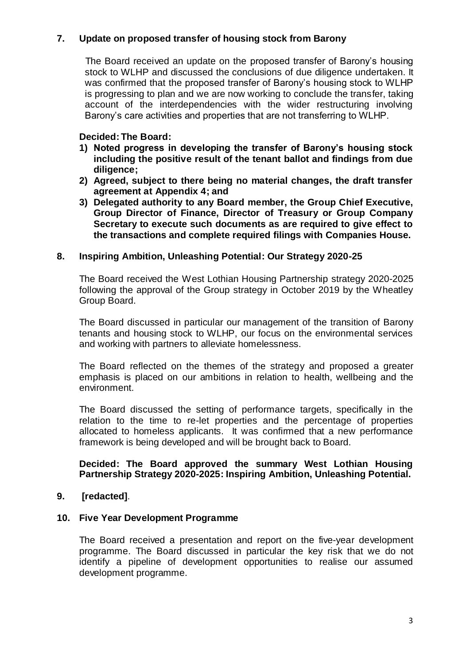## **7. Update on proposed transfer of housing stock from Barony**

The Board received an update on the proposed transfer of Barony's housing stock to WLHP and discussed the conclusions of due diligence undertaken. It was confirmed that the proposed transfer of Barony's housing stock to WLHP is progressing to plan and we are now working to conclude the transfer, taking account of the interdependencies with the wider restructuring involving Barony's care activities and properties that are not transferring to WLHP.

### **Decided: The Board:**

- **1) Noted progress in developing the transfer of Barony's housing stock including the positive result of the tenant ballot and findings from due diligence;**
- **2) Agreed, subject to there being no material changes, the draft transfer agreement at Appendix 4; and**
- **3) Delegated authority to any Board member, the Group Chief Executive, Group Director of Finance, Director of Treasury or Group Company Secretary to execute such documents as are required to give effect to the transactions and complete required filings with Companies House.**

#### **8. Inspiring Ambition, Unleashing Potential: Our Strategy 2020-25**

The Board received the West Lothian Housing Partnership strategy 2020-2025 following the approval of the Group strategy in October 2019 by the Wheatley Group Board.

The Board discussed in particular our management of the transition of Barony tenants and housing stock to WLHP, our focus on the environmental services and working with partners to alleviate homelessness.

The Board reflected on the themes of the strategy and proposed a greater emphasis is placed on our ambitions in relation to health, wellbeing and the environment.

The Board discussed the setting of performance targets, specifically in the relation to the time to re-let properties and the percentage of properties allocated to homeless applicants. It was confirmed that a new performance framework is being developed and will be brought back to Board.

#### **Decided: The Board approved the summary West Lothian Housing Partnership Strategy 2020-2025: Inspiring Ambition, Unleashing Potential.**

#### **9. [redacted]**.

#### **10. Five Year Development Programme**

The Board received a presentation and report on the five-year development programme. The Board discussed in particular the key risk that we do not identify a pipeline of development opportunities to realise our assumed development programme.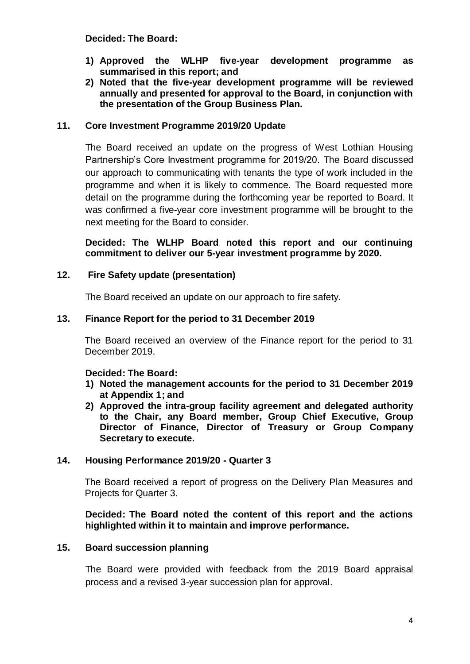**Decided: The Board:**

- **1) Approved the WLHP five-year development programme as summarised in this report; and**
- **2) Noted that the five-year development programme will be reviewed annually and presented for approval to the Board, in conjunction with the presentation of the Group Business Plan.**

#### **11. Core Investment Programme 2019/20 Update**

The Board received an update on the progress of West Lothian Housing Partnership's Core Investment programme for 2019/20. The Board discussed our approach to communicating with tenants the type of work included in the programme and when it is likely to commence. The Board requested more detail on the programme during the forthcoming year be reported to Board. It was confirmed a five-year core investment programme will be brought to the next meeting for the Board to consider.

**Decided: The WLHP Board noted this report and our continuing commitment to deliver our 5-year investment programme by 2020.**

### **12. Fire Safety update (presentation)**

The Board received an update on our approach to fire safety.

### **13. Finance Report for the period to 31 December 2019**

The Board received an overview of the Finance report for the period to 31 December 2019.

#### **Decided: The Board:**

- **1) Noted the management accounts for the period to 31 December 2019 at Appendix 1; and**
- **2) Approved the intra-group facility agreement and delegated authority to the Chair, any Board member, Group Chief Executive, Group Director of Finance, Director of Treasury or Group Company Secretary to execute.**

### **14. Housing Performance 2019/20 - Quarter 3**

The Board received a report of progress on the Delivery Plan Measures and Projects for Quarter 3.

**Decided: The Board noted the content of this report and the actions highlighted within it to maintain and improve performance.**

#### **15. Board succession planning**

The Board were provided with feedback from the 2019 Board appraisal process and a revised 3-year succession plan for approval.